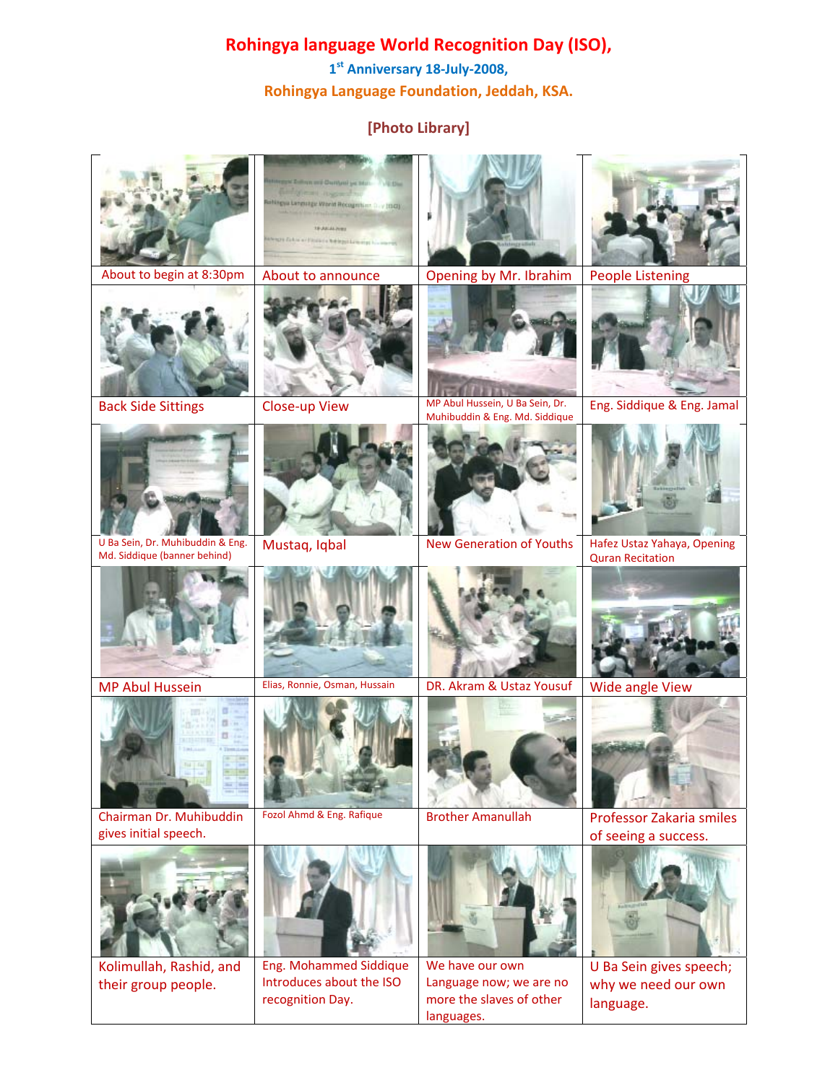## **Rohingya language World Recognition Day (ISO),**

**1st Anniversary 18‐July‐2008, Rohingya Language Foundation, Jeddah, KSA.**

## **[Photo Library]**